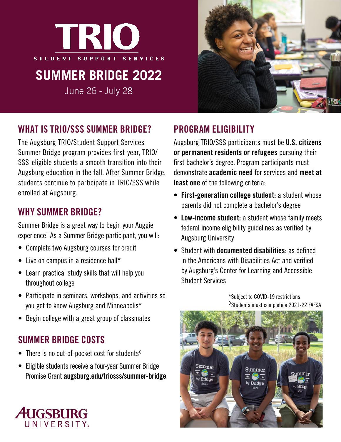

# **SUMMER BRIDGE 2022**

June 26 - July 28



## WHAT IS TRIO/SSS SUMMER BRIDGE?

The Augsburg TRIO/Student Support Services Summer Bridge program provides first-year, TRIO/ SSS-eligible students a smooth transition into their Augsburg education in the fall. After Summer Bridge, students continue to participate in TRIO/SSS while enrolled at Augsburg.

### WHY SUMMER BRIDGE?

Summer Bridge is a great way to begin your Auggie experience! As a Summer Bridge participant, you will:

- Complete two Augsburg courses for credit
- Live on campus in a residence hall\*
- Learn practical study skills that will help you throughout college
- Participate in seminars, workshops, and activities so you get to know Augsburg and Minneapolis\*
- Begin college with a great group of classmates

### SUMMER BRIDGE COSTS

- There is no out-of-pocket cost for students $\lozenge$
- Eligible students receive a four-year Summer Bridge Promise Grant augsburg.edu/triosss/summer-bridge

# PROGRAM ELIGIBILITY

Augsburg TRIO/SSS participants must be U.S. citizens or permanent residents or refugees pursuing their first bachelor's degree. Program participants must demonstrate academic need for services and meet at least one of the following criteria:

- First-generation college student: a student whose parents did not complete a bachelor's degree
- Low-income student: a student whose family meets federal income eligibility guidelines as verified by Augsburg University
- Student with documented disabilities: as defined in the Americans with Disabilities Act and verified by Augsburg's Center for Learning and Accessible Student Services

\*Subject to COVID-19 restrictions  $\textdegree$ Students must complete a 2021-22 FAFSA